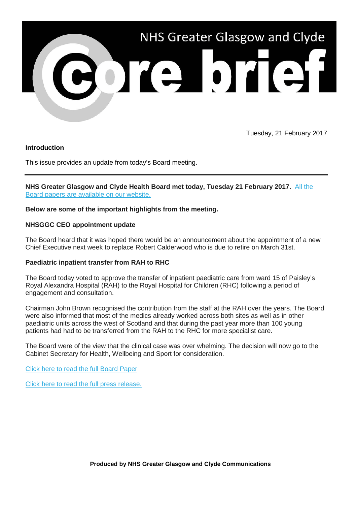

Tuesday, 21 February 2017

# **Introduction**

This issue provides an update from today's Board meeting.

**NHS Greater Glasgow and Clyde Health Board met today, Tuesday 21 February 2017.** [All the](http://nhsggc.us12.list-manage.com/track/click?u=0f385b5aea37eaf0213bd19fb&id=1a7115f99c&e=5af5e1832c)  [Board papers are available on our website.](http://nhsggc.us12.list-manage.com/track/click?u=0f385b5aea37eaf0213bd19fb&id=1a7115f99c&e=5af5e1832c)

### **Below are some of the important highlights from the meeting.**

### **NHSGGC CEO appointment update**

The Board heard that it was hoped there would be an announcement about the appointment of a new Chief Executive next week to replace Robert Calderwood who is due to retire on March 31st.

### **Paediatric inpatient transfer from RAH to RHC**

The Board today voted to approve the transfer of inpatient paediatric care from ward 15 of Paisley's Royal Alexandra Hospital (RAH) to the Royal Hospital for Children (RHC) following a period of engagement and consultation.

Chairman John Brown recognised the contribution from the staff at the RAH over the years. The Board were also informed that most of the medics already worked across both sites as well as in other paediatric units across the west of Scotland and that during the past year more than 100 young patients had had to be transferred from the RAH to the RHC for more specialist care.

The Board were of the view that the clinical case was over whelming. The decision will now go to the Cabinet Secretary for Health, Wellbeing and Sport for consideration.

[Click here to read the full Board Paper](http://www.nhsggc.org.uk/media/241050/nhsggc_board_paper_17-03.pdf)

[Click here to read the full press release.](http://www.nhsggc.org.uk/about-us/media-centre/news/2017/02/children-in-clyde-could-be-set-to-benefit-from-the-same-state-of-the-art-hospital-facilities-as-other-children-across-nhsggc/)